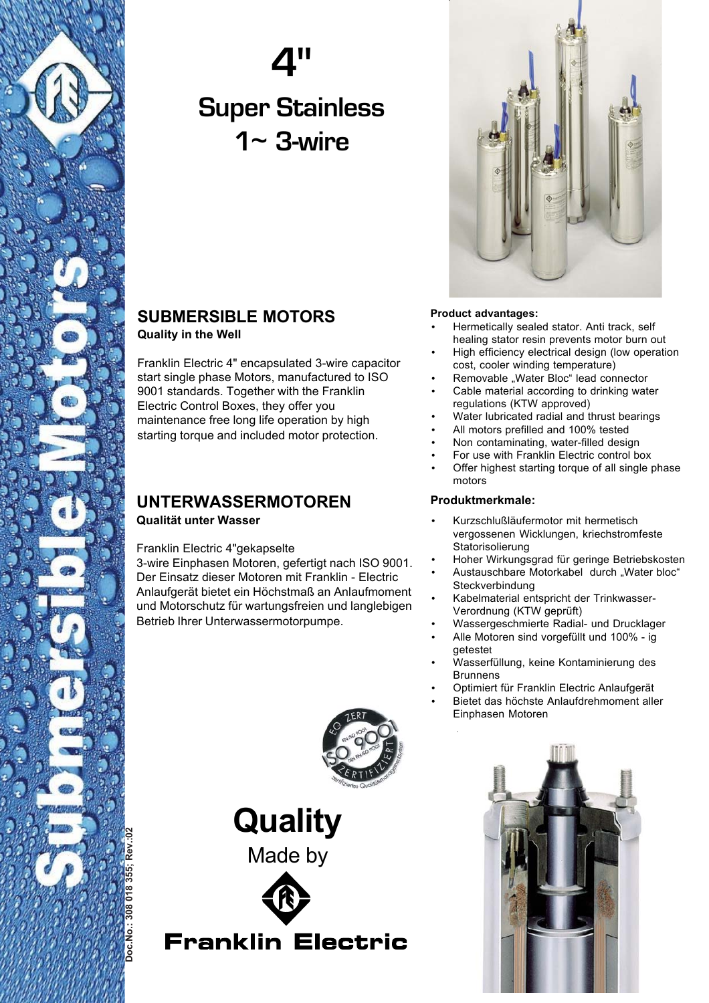

# **4" Super Stainless 1**~ **3-wire**



Franklin Electric 4" encapsulated 3-wire capacitor start single phase Motors, manufactured to ISO 9001 standards. Together with the Franklin Electric Control Boxes, they offer you maintenance free long life operation by high starting torque and included motor protection.

### **UNTERWASSERMOTOREN Qualität unter Wasser**

Franklin Electric 4"gekapselte

3-wire Einphasen Motoren, gefertigt nach ISO 9001. Der Einsatz dieser Motoren mit Franklin - Electric Anlaufgerät bietet ein Höchstmaß an Anlaufmoment und Motorschutz für wartungsfreien und langlebigen Betrieb Ihrer Unterwassermotorpumpe.



### **Product advantages:**

- Hermetically sealed stator. Anti track, self healing stator resin prevents motor burn out
- High efficiency electrical design (low operation cost, cooler winding temperature)
- Removable "Water Bloc" lead connector
- Cable material according to drinking water regulations (KTW approved)
- Water lubricated radial and thrust bearings
- All motors prefilled and 100% tested
- Non contaminating, water-filled design
- For use with Franklin Electric control box
- Offer highest starting torque of all single phase motors

#### **Produktmerkmale:**

- Kurzschlußläufermotor mit hermetisch vergossenen Wicklungen, kriechstromfeste **Statorisolierung**
- Hoher Wirkungsgrad für geringe Betriebskosten
- Austauschbare Motorkabel durch "Water bloc" **Steckverbindung**
- Kabelmaterial entspricht der Trinkwasser-Verordnung (KTW geprüft)
- Wassergeschmierte Radial- und Drucklager
- Alle Motoren sind vorgefüllt und 100% ig getestet
- Wasserfüllung, keine Kontaminierung des Brunnens
- Optimiert für Franklin Electric Anlaufgerät
- Bietet das höchste Anlaufdrehmoment aller Einphasen Motoren



**Quality** Made by



**Franklin Electric** 

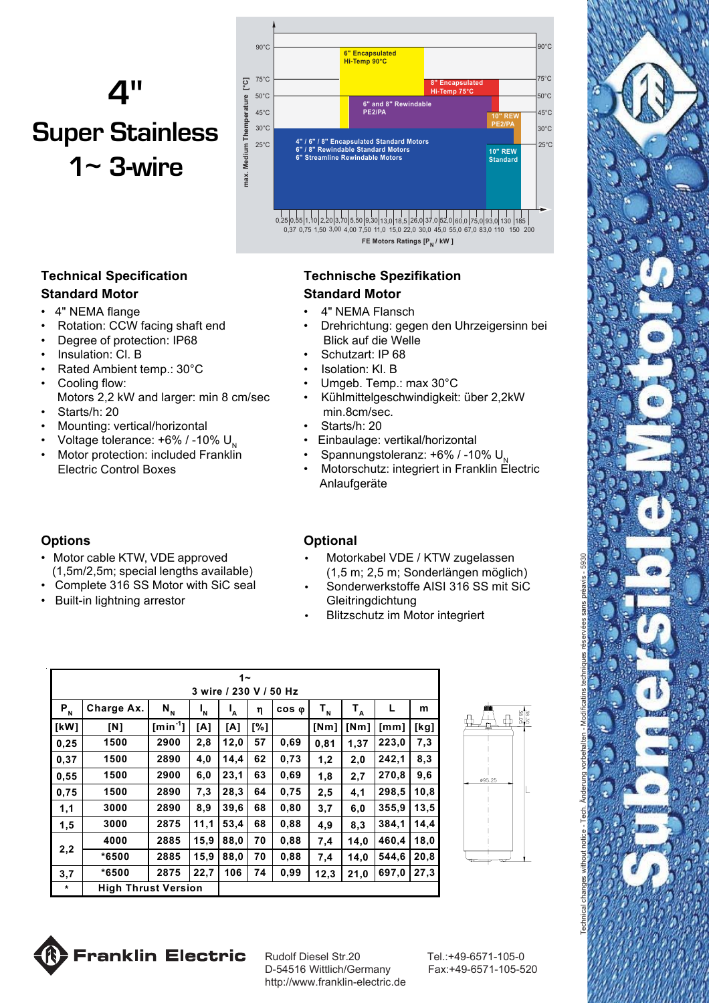# **4" Super Stainless 1**~ **3-wire**



**Technical Specification Standard Motor**

#### 4" NEMA flange

- Rotation: CCW facing shaft end
- Degree of protection: IP68
- Insulation: Cl. B
- Rated Ambient temp.: 30°C
- Cooling flow: Motors 2,2 kW and larger: min 8 cm/sec
- Starts/h: 20
- Mounting: vertical/horizontal
- Voltage tolerance:  $+6\%$  / -10% U.
- Motor protection: included Franklin Electric Control Boxes

### **Options**

- Motor cable KTW, VDE approved (1,5m/2,5m; special lengths available)
- Complete 316 SS Motor with SiC seal
- Built-in lightning arrestor

## **Technische Spezifikation Standard Motor**

- 4" NEMA Flansch
- Drehrichtung: gegen den Uhrzeigersinn bei Blick auf die Welle
- Schutzart: IP 68
- Isolation: Kl. B
- Umgeb. Temp.: max 30°C
- Kühlmittelgeschwindigkeit: über 2,2kW min.8cm/sec.
	- Starts/h: 20
- Einbaulage: vertikal/horizontal
- Spannungstoleranz:  $+6\%$  / -10%  $U_{N}$
- Motorschutz: integriert in Franklin Electric Anlaufgeräte

### **Optional**

- Motorkabel VDE / KTW zugelassen (1,5 m; 2,5 m; Sonderlängen möglich)
- Sonderwerkstoffe AISI 316 SS mit SiC **Gleitringdichtung**
- Blitzschutz im Motor integriert

| 1∼                     |                            |              |         |              |     |               |         |       |       |      |  |
|------------------------|----------------------------|--------------|---------|--------------|-----|---------------|---------|-------|-------|------|--|
| 3 wire / 230 V / 50 Hz |                            |              |         |              |     |               |         |       |       |      |  |
| $P_{N}$                | Charge Ax.                 | $N_{N}$      | $I_{N}$ | $\mathbf{A}$ | η   | $cos \varphi$ | $T_{N}$ | $T_A$ | L     | m    |  |
| [kW]                   | [N]                        | $[min^{-1}]$ | [A]     | [A]          | [%] |               | [Nm]    | [Nm]  | [mm]  | [kg] |  |
| 0,25                   | 1500                       | 2900         | 2,8     | 12,0         | 57  | 0,69          | 0,81    | 1,37  | 223,0 | 7,3  |  |
| 0,37                   | 1500                       | 2890         | 4,0     | 14,4         | 62  | 0,73          | 1,2     | 2,0   | 242,1 | 8,3  |  |
| 0,55                   | 1500                       | 2900         | 6,0     | 23,1         | 63  | 0,69          | 1,8     | 2,7   | 270,8 | 9,6  |  |
| 0,75                   | 1500                       | 2890         | 7,3     | 28,3         | 64  | 0,75          | 2,5     | 4,1   | 298,5 | 10,8 |  |
| 1,1                    | 3000                       | 2890         | 8,9     | 39,6         | 68  | 0,80          | 3,7     | 6,0   | 355,9 | 13,5 |  |
| 1,5                    | 3000                       | 2875         | 11,1    | 53,4         | 68  | 0,88          | 4,9     | 8.3   | 384,1 | 14,4 |  |
| 2,2                    | 4000                       | 2885         | 15,9    | 88,0         | 70  | 0,88          | 7,4     | 14,0  | 460,4 | 18,0 |  |
|                        | *6500                      | 2885         | 15,9    | 88,0         | 70  | 0,88          | 7,4     | 14.0  | 544,6 | 20,8 |  |
| 3,7                    | *6500                      | 2875         | 22,7    | 106          | 74  | 0,99          | 12,3    | 21,0  | 697,0 | 27,3 |  |
| $\star$                | <b>High Thrust Version</b> |              |         |              |     |               |         |       |       |      |  |



Technical changes without notice - Tech. Änderung vorbehalten - Modificatins techniques réservées sans prèavis - 5930



Rudolf Diesel Str.20 Tel.:+49-6571-105-0 D-54516 Wittlich/Germany Fax:+49-6571-105-520 http://www.franklin-electric.de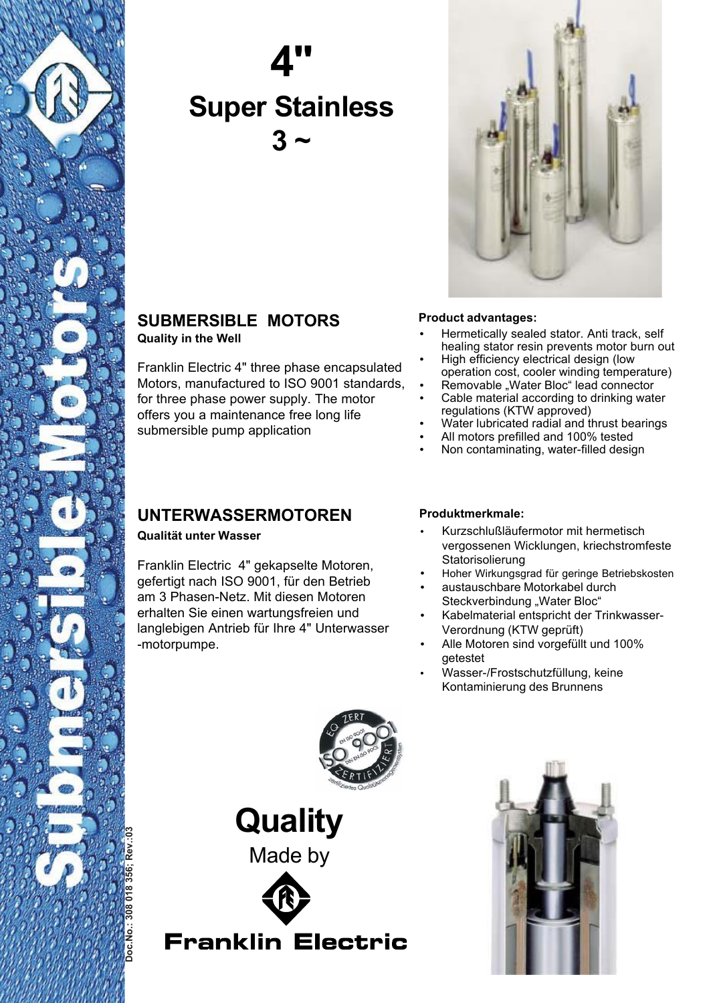

# **4" Super Stainless 3 ~**



# **SUBMERSIBLE MOTORS Quality in the Well**

Franklin Electric 4" three phase encapsulated Motors, manufactured to ISO 9001 standards, for three phase power supply. The motor offers you a maintenance free long life submersible pump application

# **UNTERWASSERMOTOREN**

**Qualität unter Wasser**

Franklin Electric 4" gekapselte Motoren, gefertigt nach ISO 9001, für den Betrieb am 3 Phasen-Netz. Mit diesen Motoren erhalten Sie einen wartungsfreien und langlebigen Antrieb für Ihre 4" Unterwasser -motorpumpe.

### **Product advantages:**

- Hermetically sealed stator. Anti track, self healing stator resin prevents motor burn out
- High efficiency electrical design (low operation cost, cooler winding temperature)
- Removable "Water Bloc" lead connector
- Cable material according to drinking water regulations (KTW approved)
- Water lubricated radial and thrust bearings
- All motors prefilled and 100% tested
- Non contaminating, water-filled design

### **Produktmerkmale:**

- Kurzschlußläufermotor mit hermetisch vergossenen Wicklungen, kriechstromfeste **Statorisolierung**
- Hoher Wirkungsgrad für geringe Betriebskosten
- austauschbare Motorkabel durch Steckverbindung "Water Bloc"
- Kabelmaterial entspricht der Trinkwasser-Verordnung (KTW geprüft)
- Alle Motoren sind vorgefüllt und 100% getestet
- Wasser-/Frostschutzfüllung, keine Kontaminierung des Brunnens



**Quality** Made by



**Franklin Electric**